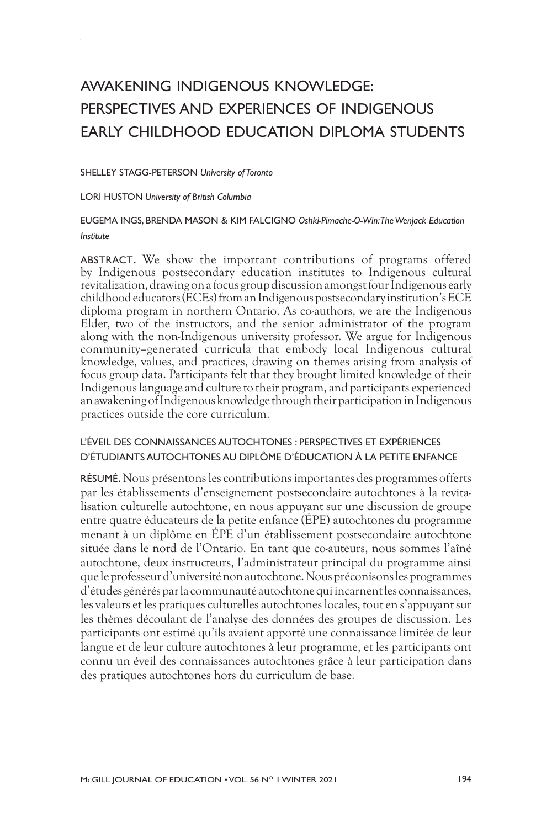# AWAKENING INDIGENOUS KNOWLEDGE: PERSPECTIVES AND EXPERIENCES OF INDIGENOUS EARLY CHILDHOOD EDUCATION DIPLOMA STUDENTS

#### SHELLEY STAGG-PETERSON *University of Toronto*

LORI HUSTON *University of British Columbia*

#### EUGEMA INGS, BRENDA MASON *&* KIM FALCIGNO *Oshki-Pimache-O-Win: The Wenjack Education Institute*

ABSTRACT. We show the important contributions of programs offered by Indigenous postsecondary education institutes to Indigenous cultural revitalization, drawing on a focus group discussion amongst four Indigenous early childhood educators (ECEs) from an Indigenous postsecondary institution's ECE diploma program in northern Ontario. As co-authors, we are the Indigenous Elder, two of the instructors, and the senior administrator of the program along with the non-Indigenous university professor. We argue for Indigenous community–generated curricula that embody local Indigenous cultural knowledge, values, and practices, drawing on themes arising from analysis of focus group data. Participants felt that they brought limited knowledge of their Indigenous language and culture to their program, and participants experienced an awakening of Indigenous knowledge through their participation in Indigenous practices outside the core curriculum.

#### L'ÉVEIL DES CONNAISSANCES AUTOCHTONES : PERSPECTIVES ET EXPÉRIENCES D'ÉTUDIANTS AUTOCHTONES AU DIPLÔME D'ÉDUCATION À LA PETITE ENFANCE

RÉSUMÉ. Nous présentons les contributions importantes des programmes offerts par les établissements d'enseignement postsecondaire autochtones à la revitalisation culturelle autochtone, en nous appuyant sur une discussion de groupe entre quatre éducateurs de la petite enfance (ÉPE) autochtones du programme menant à un diplôme en ÉPE d'un établissement postsecondaire autochtone située dans le nord de l'Ontario. En tant que co-auteurs, nous sommes l'aîné autochtone, deux instructeurs, l'administrateur principal du programme ainsi que le professeur d'université non autochtone. Nous préconisons les programmes d'études générés par la communauté autochtone qui incarnent les connaissances, les valeurs et les pratiques culturelles autochtones locales, tout en s'appuyant sur les thèmes découlant de l'analyse des données des groupes de discussion. Les participants ont estimé qu'ils avaient apporté une connaissance limitée de leur langue et de leur culture autochtones à leur programme, et les participants ont connu un éveil des connaissances autochtones grâce à leur participation dans des pratiques autochtones hors du curriculum de base.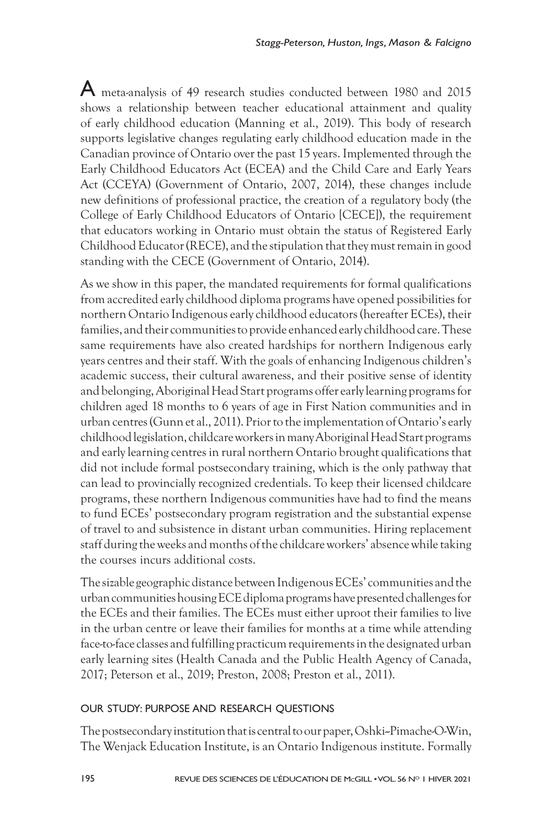A meta-analysis of 49 research studies conducted between 1980 and 2015 shows a relationship between teacher educational attainment and quality of early childhood education (Manning et al., 2019). This body of research supports legislative changes regulating early childhood education made in the Canadian province of Ontario over the past 15 years. Implemented through the Early Childhood Educators Act (ECEA) and the Child Care and Early Years Act (CCEYA) (Government of Ontario, 2007, 2014), these changes include new definitions of professional practice, the creation of a regulatory body (the College of Early Childhood Educators of Ontario [CECE]), the requirement that educators working in Ontario must obtain the status of Registered Early Childhood Educator (RECE), and the stipulation that they must remain in good standing with the CECE (Government of Ontario, 2014).

As we show in this paper, the mandated requirements for formal qualifications from accredited early childhood diploma programs have opened possibilities for northern Ontario Indigenous early childhood educators (hereafter ECEs), their families, and their communities to provide enhanced early childhood care. These same requirements have also created hardships for northern Indigenous early years centres and their staff. With the goals of enhancing Indigenous children's academic success, their cultural awareness, and their positive sense of identity and belonging, Aboriginal Head Start programs offer early learning programs for children aged 18 months to 6 years of age in First Nation communities and in urban centres (Gunn et al., 2011). Prior to the implementation of Ontario's early childhood legislation, childcare workers in many Aboriginal Head Start programs and early learning centres in rural northern Ontario brought qualifications that did not include formal postsecondary training, which is the only pathway that can lead to provincially recognized credentials. To keep their licensed childcare programs, these northern Indigenous communities have had to find the means to fund ECEs' postsecondary program registration and the substantial expense of travel to and subsistence in distant urban communities. Hiring replacement staff during the weeks and months of the childcare workers' absence while taking the courses incurs additional costs.

The sizable geographic distance between Indigenous ECEs' communities and the urban communities housing ECE diploma programs have presented challenges for the ECEs and their families. The ECEs must either uproot their families to live in the urban centre or leave their families for months at a time while attending face-to-face classes and fulfilling practicum requirements in the designated urban early learning sites (Health Canada and the Public Health Agency of Canada, 2017; Peterson et al., 2019; Preston, 2008; Preston et al., 2011).

# OUR STUDY: PURPOSE AND RESEARCH QUESTIONS

The postsecondary institution that is central to our paper, Oshki--Pimache-O-Win, The Wenjack Education Institute, is an Ontario Indigenous institute. Formally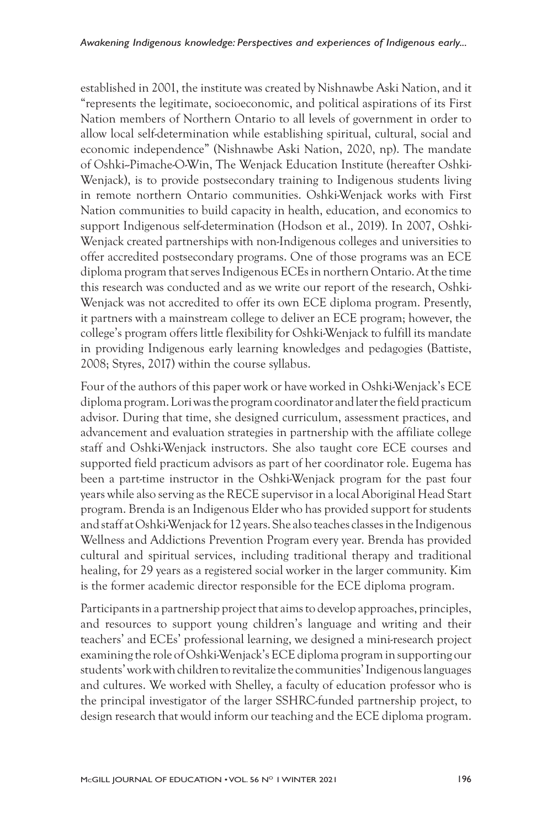established in 2001, the institute was created by Nishnawbe Aski Nation, and it "represents the legitimate, socioeconomic, and political aspirations of its First Nation members of Northern Ontario to all levels of government in order to allow local self-determination while establishing spiritual, cultural, social and economic independence" (Nishnawbe Aski Nation, 2020, np). The mandate of Oshki--Pimache-O-Win, The Wenjack Education Institute (hereafter Oshki-Wenjack), is to provide postsecondary training to Indigenous students living in remote northern Ontario communities. Oshki-Wenjack works with First Nation communities to build capacity in health, education, and economics to support Indigenous self-determination (Hodson et al., 2019). In 2007, Oshki-Wenjack created partnerships with non-Indigenous colleges and universities to offer accredited postsecondary programs. One of those programs was an ECE diploma program that serves Indigenous ECEs in northern Ontario. At the time this research was conducted and as we write our report of the research, Oshki-Wenjack was not accredited to offer its own ECE diploma program. Presently, it partners with a mainstream college to deliver an ECE program; however, the college's program offers little flexibility for Oshki-Wenjack to fulfill its mandate in providing Indigenous early learning knowledges and pedagogies (Battiste, 2008; Styres, 2017) within the course syllabus.

Four of the authors of this paper work or have worked in Oshki-Wenjack's ECE diploma program. Lori was the program coordinator and later the field practicum advisor. During that time, she designed curriculum, assessment practices, and advancement and evaluation strategies in partnership with the affiliate college staff and Oshki-Wenjack instructors. She also taught core ECE courses and supported field practicum advisors as part of her coordinator role. Eugema has been a part-time instructor in the Oshki-Wenjack program for the past four years while also serving as the RECE supervisor in a local Aboriginal Head Start program. Brenda is an Indigenous Elder who has provided support for students and staff at Oshki-Wenjack for 12 years. She also teaches classes in the Indigenous Wellness and Addictions Prevention Program every year. Brenda has provided cultural and spiritual services, including traditional therapy and traditional healing, for 29 years as a registered social worker in the larger community. Kim is the former academic director responsible for the ECE diploma program.

Participants in a partnership project that aims to develop approaches, principles, and resources to support young children's language and writing and their teachers' and ECEs' professional learning, we designed a mini-research project examining the role of Oshki-Wenjack's ECE diploma program in supporting our students' work with children to revitalize the communities' Indigenous languages and cultures. We worked with Shelley, a faculty of education professor who is the principal investigator of the larger SSHRC-funded partnership project, to design research that would inform our teaching and the ECE diploma program.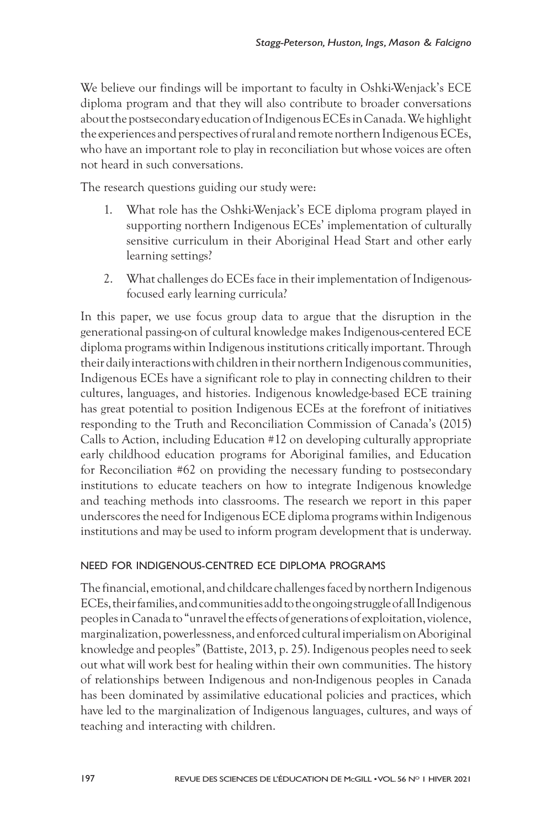We believe our findings will be important to faculty in Oshki-Wenjack's ECE diploma program and that they will also contribute to broader conversations about the postsecondary education of Indigenous ECEs in Canada. We highlight the experiences and perspectives of rural and remote northern Indigenous ECEs, who have an important role to play in reconciliation but whose voices are often not heard in such conversations.

The research questions guiding our study were:

- 1. What role has the Oshki-Wenjack's ECE diploma program played in supporting northern Indigenous ECEs' implementation of culturally sensitive curriculum in their Aboriginal Head Start and other early learning settings?
- 2. What challenges do ECEs face in their implementation of Indigenousfocused early learning curricula?

In this paper, we use focus group data to argue that the disruption in the generational passing-on of cultural knowledge makes Indigenous-centered ECE diploma programs within Indigenous institutions critically important. Through their daily interactions with children in their northern Indigenous communities, Indigenous ECEs have a significant role to play in connecting children to their cultures, languages, and histories. Indigenous knowledge-based ECE training has great potential to position Indigenous ECEs at the forefront of initiatives responding to the Truth and Reconciliation Commission of Canada's (2015) Calls to Action, including Education #12 on developing culturally appropriate early childhood education programs for Aboriginal families, and Education for Reconciliation #62 on providing the necessary funding to postsecondary institutions to educate teachers on how to integrate Indigenous knowledge and teaching methods into classrooms. The research we report in this paper underscores the need for Indigenous ECE diploma programs within Indigenous institutions and may be used to inform program development that is underway.

#### NEED FOR INDIGENOUS-CENTRED ECE DIPLOMA PROGRAMS

The financial, emotional, and childcare challenges faced by northern Indigenous ECEs, their families, and communities add to the ongoing struggle of all Indigenous peoples in Canada to "unravel the effects of generations of exploitation, violence, marginalization, powerlessness, and enforced cultural imperialism on Aboriginal knowledge and peoples" (Battiste, 2013, p. 25). Indigenous peoples need to seek out what will work best for healing within their own communities. The history of relationships between Indigenous and non-Indigenous peoples in Canada has been dominated by assimilative educational policies and practices, which have led to the marginalization of Indigenous languages, cultures, and ways of teaching and interacting with children.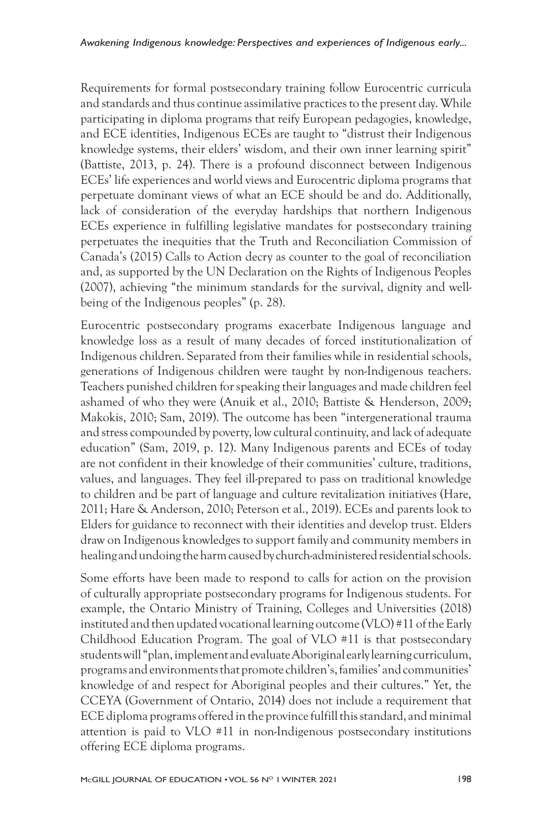Requirements for formal postsecondary training follow Eurocentric curricula and standards and thus continue assimilative practices to the present day. While participating in diploma programs that reify European pedagogies, knowledge, and ECE identities, Indigenous ECEs are taught to "distrust their Indigenous knowledge systems, their elders' wisdom, and their own inner learning spirit" (Battiste, 2013, p. 24). There is a profound disconnect between Indigenous ECEs' life experiences and world views and Eurocentric diploma programs that perpetuate dominant views of what an ECE should be and do. Additionally, lack of consideration of the everyday hardships that northern Indigenous ECEs experience in fulfilling legislative mandates for postsecondary training perpetuates the inequities that the Truth and Reconciliation Commission of Canada's (2015) Calls to Action decry as counter to the goal of reconciliation and, as supported by the UN Declaration on the Rights of Indigenous Peoples (2007), achieving "the minimum standards for the survival, dignity and wellbeing of the Indigenous peoples" (p. 28).

Eurocentric postsecondary programs exacerbate Indigenous language and knowledge loss as a result of many decades of forced institutionalization of Indigenous children. Separated from their families while in residential schools, generations of Indigenous children were taught by non-Indigenous teachers. Teachers punished children for speaking their languages and made children feel ashamed of who they were (Anuik et al., 2010; Battiste & Henderson, 2009; Makokis, 2010; Sam, 2019). The outcome has been "intergenerational trauma and stress compounded by poverty, low cultural continuity, and lack of adequate education" (Sam, 2019, p. 12). Many Indigenous parents and ECEs of today are not confident in their knowledge of their communities' culture, traditions, values, and languages. They feel ill-prepared to pass on traditional knowledge to children and be part of language and culture revitalization initiatives (Hare, 2011; Hare & Anderson, 2010; Peterson et al., 2019). ECEs and parents look to Elders for guidance to reconnect with their identities and develop trust. Elders draw on Indigenous knowledges to support family and community members in healing and undoing the harm caused by church-administered residential schools.

Some efforts have been made to respond to calls for action on the provision of culturally appropriate postsecondary programs for Indigenous students. For example, the Ontario Ministry of Training, Colleges and Universities (2018) instituted and then updated vocational learning outcome (VLO) #11 of the Early Childhood Education Program. The goal of VLO #11 is that postsecondary students will "plan, implement and evaluate Aboriginal early learning curriculum, programs and environments that promote children's, families' and communities' knowledge of and respect for Aboriginal peoples and their cultures." Yet, the CCEYA (Government of Ontario, 2014) does not include a requirement that ECE diploma programs offered in the province fulfill this standard, and minimal attention is paid to VLO #11 in non-Indigenous postsecondary institutions offering ECE diploma programs.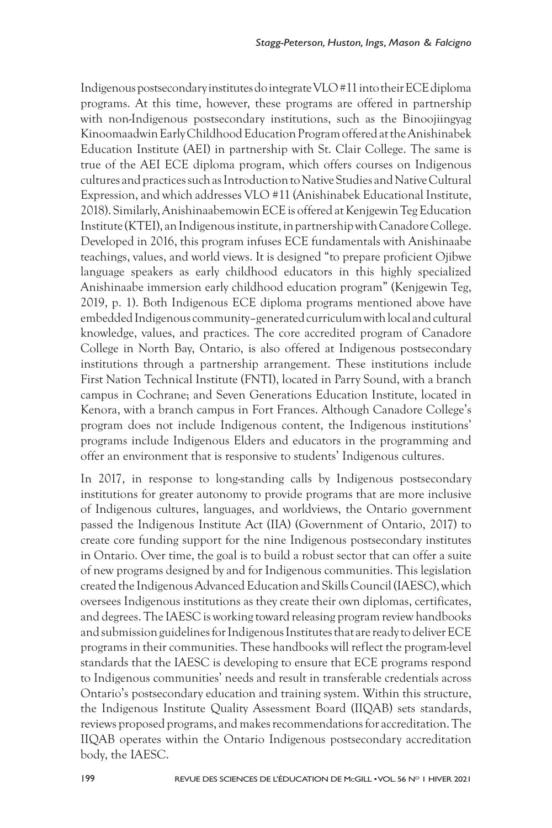Indigenous postsecondary institutes do integrate VLO #11 into their ECE diploma programs. At this time, however, these programs are offered in partnership with non-Indigenous postsecondary institutions, such as the Binoojiingyag Kinoomaadwin Early Childhood Education Program offered at the Anishinabek Education Institute (AEI) in partnership with St. Clair College. The same is true of the AEI ECE diploma program, which offers courses on Indigenous cultures and practices such as Introduction to Native Studies and Native Cultural Expression, and which addresses VLO #11 (Anishinabek Educational Institute, 2018). Similarly, Anishinaabemowin ECE is offered at Kenjgewin Teg Education Institute (KTEI), an Indigenous institute, in partnership with Canadore College. Developed in 2016, this program infuses ECE fundamentals with Anishinaabe teachings, values, and world views. It is designed "to prepare proficient Ojibwe language speakers as early childhood educators in this highly specialized Anishinaabe immersion early childhood education program" (Kenjgewin Teg, 2019, p. 1). Both Indigenous ECE diploma programs mentioned above have embedded Indigenous community–generated curriculum with local and cultural knowledge, values, and practices. The core accredited program of Canadore College in North Bay, Ontario, is also offered at Indigenous postsecondary institutions through a partnership arrangement. These institutions include First Nation Technical Institute (FNTI), located in Parry Sound, with a branch campus in Cochrane; and Seven Generations Education Institute, located in Kenora, with a branch campus in Fort Frances. Although Canadore College's program does not include Indigenous content, the Indigenous institutions' programs include Indigenous Elders and educators in the programming and offer an environment that is responsive to students' Indigenous cultures.

In 2017, in response to long-standing calls by Indigenous postsecondary institutions for greater autonomy to provide programs that are more inclusive of Indigenous cultures, languages, and worldviews, the Ontario government passed the Indigenous Institute Act (IIA) (Government of Ontario, 2017) to create core funding support for the nine Indigenous postsecondary institutes in Ontario. Over time, the goal is to build a robust sector that can offer a suite of new programs designed by and for Indigenous communities. This legislation created the Indigenous Advanced Education and Skills Council (IAESC), which oversees Indigenous institutions as they create their own diplomas, certificates, and degrees. The IAESC is working toward releasing program review handbooks and submission guidelines for Indigenous Institutes that are ready to deliver ECE programs in their communities. These handbooks will reflect the program-level standards that the IAESC is developing to ensure that ECE programs respond to Indigenous communities' needs and result in transferable credentials across Ontario's postsecondary education and training system. Within this structure, the Indigenous Institute Quality Assessment Board (IIQAB) sets standards, reviews proposed programs, and makes recommendations for accreditation. The IIQAB operates within the Ontario Indigenous postsecondary accreditation body, the IAESC.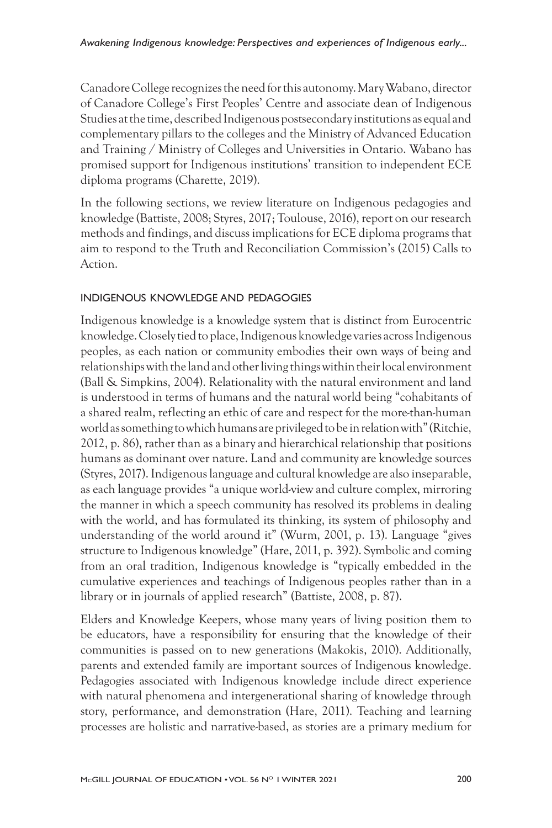Canadore College recognizes the need for this autonomy. Mary Wabano, director of Canadore College's First Peoples' Centre and associate dean of Indigenous Studies at the time, described Indigenous postsecondary institutions as equal and complementary pillars to the colleges and the Ministry of Advanced Education and Training / Ministry of Colleges and Universities in Ontario. Wabano has promised support for Indigenous institutions' transition to independent ECE diploma programs (Charette, 2019).

In the following sections, we review literature on Indigenous pedagogies and knowledge (Battiste, 2008; Styres, 2017; Toulouse, 2016), report on our research methods and findings, and discuss implications for ECE diploma programs that aim to respond to the Truth and Reconciliation Commission's (2015) Calls to Action.

# INDIGENOUS KNOWLEDGE AND PEDAGOGIES

Indigenous knowledge is a knowledge system that is distinct from Eurocentric knowledge. Closely tied to place, Indigenous knowledge varies across Indigenous peoples, as each nation or community embodies their own ways of being and relationships with the land and other living things within their local environment (Ball & Simpkins, 2004). Relationality with the natural environment and land is understood in terms of humans and the natural world being "cohabitants of a shared realm, reflecting an ethic of care and respect for the more-than-human world as something to which humans are privileged to be in relation with" (Ritchie, 2012, p. 86), rather than as a binary and hierarchical relationship that positions humans as dominant over nature. Land and community are knowledge sources (Styres, 2017). Indigenous language and cultural knowledge are also inseparable, as each language provides "a unique world-view and culture complex, mirroring the manner in which a speech community has resolved its problems in dealing with the world, and has formulated its thinking, its system of philosophy and understanding of the world around it" (Wurm, 2001, p. 13). Language "gives structure to Indigenous knowledge" (Hare, 2011, p. 392). Symbolic and coming from an oral tradition, Indigenous knowledge is "typically embedded in the cumulative experiences and teachings of Indigenous peoples rather than in a library or in journals of applied research" (Battiste, 2008, p. 87).

Elders and Knowledge Keepers, whose many years of living position them to be educators, have a responsibility for ensuring that the knowledge of their communities is passed on to new generations (Makokis, 2010). Additionally, parents and extended family are important sources of Indigenous knowledge. Pedagogies associated with Indigenous knowledge include direct experience with natural phenomena and intergenerational sharing of knowledge through story, performance, and demonstration (Hare, 2011). Teaching and learning processes are holistic and narrative-based, as stories are a primary medium for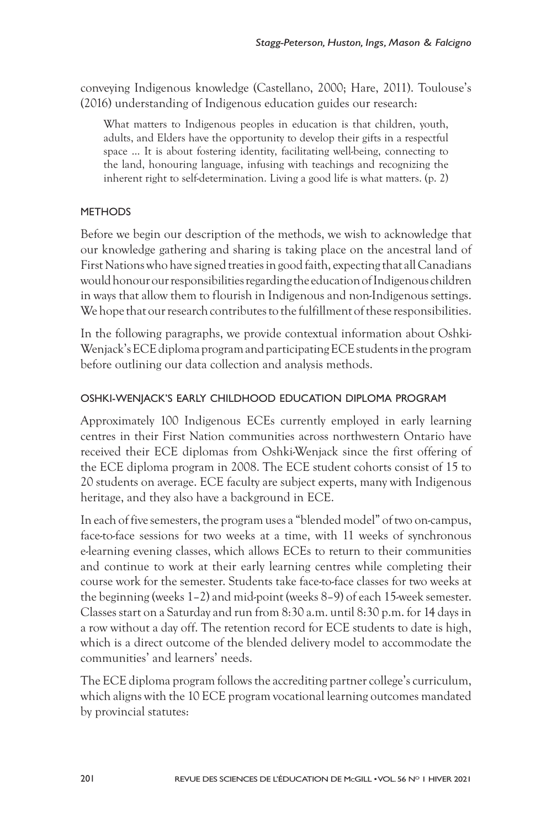conveying Indigenous knowledge (Castellano, 2000; Hare, 2011). Toulouse's (2016) understanding of Indigenous education guides our research:

What matters to Indigenous peoples in education is that children, youth, adults, and Elders have the opportunity to develop their gifts in a respectful space ... It is about fostering identity, facilitating well-being, connecting to the land, honouring language, infusing with teachings and recognizing the inherent right to self-determination. Living a good life is what matters. (p. 2)

#### **METHODS**

Before we begin our description of the methods, we wish to acknowledge that our knowledge gathering and sharing is taking place on the ancestral land of First Nations who have signed treaties in good faith, expecting that all Canadians would honour our responsibilities regarding the education of Indigenous children in ways that allow them to flourish in Indigenous and non-Indigenous settings. We hope that our research contributes to the fulfillment of these responsibilities.

In the following paragraphs, we provide contextual information about Oshki-Wenjack's ECE diploma program and participating ECE students in the program before outlining our data collection and analysis methods.

# OSHKI-WENJACK'S EARLY CHILDHOOD EDUCATION DIPLOMA PROGRAM

Approximately 100 Indigenous ECEs currently employed in early learning centres in their First Nation communities across northwestern Ontario have received their ECE diplomas from Oshki-Wenjack since the first offering of the ECE diploma program in 2008. The ECE student cohorts consist of 15 to 20 students on average. ECE faculty are subject experts, many with Indigenous heritage, and they also have a background in ECE.

In each of five semesters, the program uses a "blended model" of two on-campus, face-to-face sessions for two weeks at a time, with 11 weeks of synchronous e-learning evening classes, which allows ECEs to return to their communities and continue to work at their early learning centres while completing their course work for the semester. Students take face-to-face classes for two weeks at the beginning (weeks 1–2) and mid-point (weeks 8–9) of each 15-week semester. Classes start on a Saturday and run from 8:30 a.m. until 8:30 p.m. for 14 days in a row without a day off. The retention record for ECE students to date is high, which is a direct outcome of the blended delivery model to accommodate the communities' and learners' needs.

The ECE diploma program follows the accrediting partner college's curriculum, which aligns with the 10 ECE program vocational learning outcomes mandated by provincial statutes: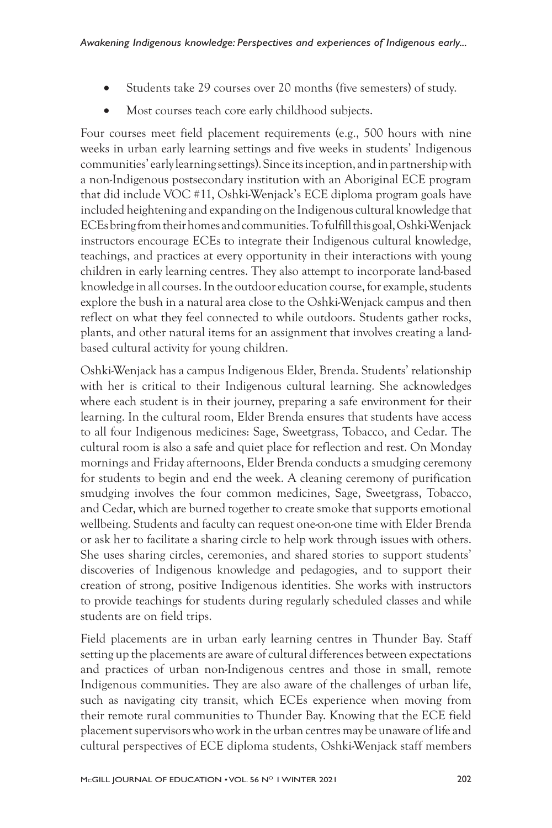- Students take 29 courses over 20 months (five semesters) of study.
- Most courses teach core early childhood subjects.

Four courses meet field placement requirements (e.g., 500 hours with nine weeks in urban early learning settings and five weeks in students' Indigenous communities' early learning settings). Since its inception, and in partnership with a non-Indigenous postsecondary institution with an Aboriginal ECE program that did include VOC #11, Oshki-Wenjack's ECE diploma program goals have included heightening and expanding on the Indigenous cultural knowledge that ECEs bring from their homes and communities. To fulfill this goal, Oshki-Wenjack instructors encourage ECEs to integrate their Indigenous cultural knowledge, teachings, and practices at every opportunity in their interactions with young children in early learning centres. They also attempt to incorporate land-based knowledge in all courses. In the outdoor education course, for example, students explore the bush in a natural area close to the Oshki-Wenjack campus and then reflect on what they feel connected to while outdoors. Students gather rocks, plants, and other natural items for an assignment that involves creating a landbased cultural activity for young children.

Oshki-Wenjack has a campus Indigenous Elder, Brenda. Students' relationship with her is critical to their Indigenous cultural learning. She acknowledges where each student is in their journey, preparing a safe environment for their learning. In the cultural room, Elder Brenda ensures that students have access to all four Indigenous medicines: Sage, Sweetgrass, Tobacco, and Cedar. The cultural room is also a safe and quiet place for reflection and rest. On Monday mornings and Friday afternoons, Elder Brenda conducts a smudging ceremony for students to begin and end the week. A cleaning ceremony of purification smudging involves the four common medicines, Sage, Sweetgrass, Tobacco, and Cedar, which are burned together to create smoke that supports emotional wellbeing. Students and faculty can request one-on-one time with Elder Brenda or ask her to facilitate a sharing circle to help work through issues with others. She uses sharing circles, ceremonies, and shared stories to support students' discoveries of Indigenous knowledge and pedagogies, and to support their creation of strong, positive Indigenous identities. She works with instructors to provide teachings for students during regularly scheduled classes and while students are on field trips.

Field placements are in urban early learning centres in Thunder Bay. Staff setting up the placements are aware of cultural differences between expectations and practices of urban non-Indigenous centres and those in small, remote Indigenous communities. They are also aware of the challenges of urban life, such as navigating city transit, which ECEs experience when moving from their remote rural communities to Thunder Bay. Knowing that the ECE field placement supervisors who work in the urban centres may be unaware of life and cultural perspectives of ECE diploma students, Oshki-Wenjack staff members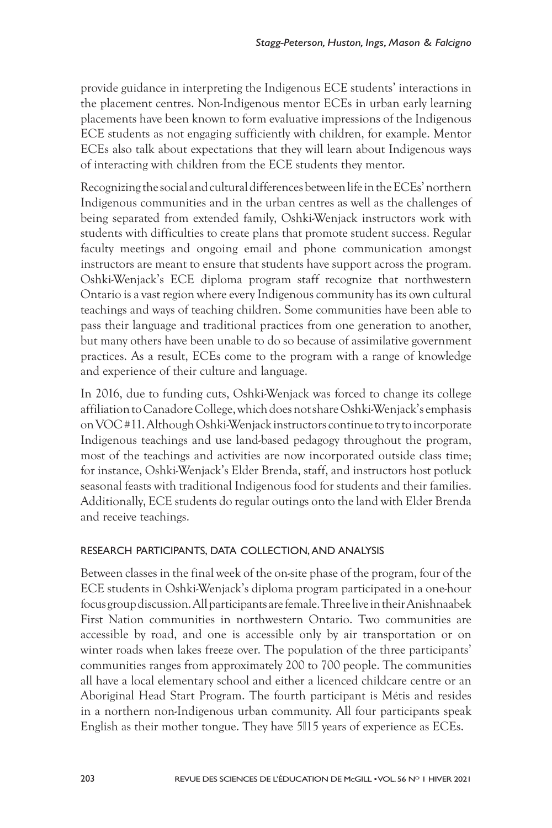provide guidance in interpreting the Indigenous ECE students' interactions in the placement centres. Non-Indigenous mentor ECEs in urban early learning placements have been known to form evaluative impressions of the Indigenous ECE students as not engaging sufficiently with children, for example. Mentor ECEs also talk about expectations that they will learn about Indigenous ways of interacting with children from the ECE students they mentor.

Recognizing the social and cultural differences between life in the ECEs' northern Indigenous communities and in the urban centres as well as the challenges of being separated from extended family, Oshki-Wenjack instructors work with students with difficulties to create plans that promote student success. Regular faculty meetings and ongoing email and phone communication amongst instructors are meant to ensure that students have support across the program. Oshki-Wenjack's ECE diploma program staff recognize that northwestern Ontario is a vast region where every Indigenous community has its own cultural teachings and ways of teaching children. Some communities have been able to pass their language and traditional practices from one generation to another, but many others have been unable to do so because of assimilative government practices. As a result, ECEs come to the program with a range of knowledge and experience of their culture and language.

In 2016, due to funding cuts, Oshki-Wenjack was forced to change its college affiliation to Canadore College, which does not share Oshki-Wenjack's emphasis on VOC #11. Although Oshki-Wenjack instructors continue to try to incorporate Indigenous teachings and use land-based pedagogy throughout the program, most of the teachings and activities are now incorporated outside class time; for instance, Oshki-Wenjack's Elder Brenda, staff, and instructors host potluck seasonal feasts with traditional Indigenous food for students and their families. Additionally, ECE students do regular outings onto the land with Elder Brenda and receive teachings.

# RESEARCH PARTICIPANTS, DATA COLLECTION, AND ANALYSIS

Between classes in the final week of the on-site phase of the program, four of the ECE students in Oshki-Wenjack's diploma program participated in a one-hour focus group discussion. All participants are female. Three live in their Anishnaabek First Nation communities in northwestern Ontario. Two communities are accessible by road, and one is accessible only by air transportation or on winter roads when lakes freeze over. The population of the three participants' communities ranges from approximately 200 to 700 people. The communities all have a local elementary school and either a licenced childcare centre or an Aboriginal Head Start Program. The fourth participant is Métis and resides in a northern non-Indigenous urban community. All four participants speak English as their mother tongue. They have 5∏15 years of experience as ECEs.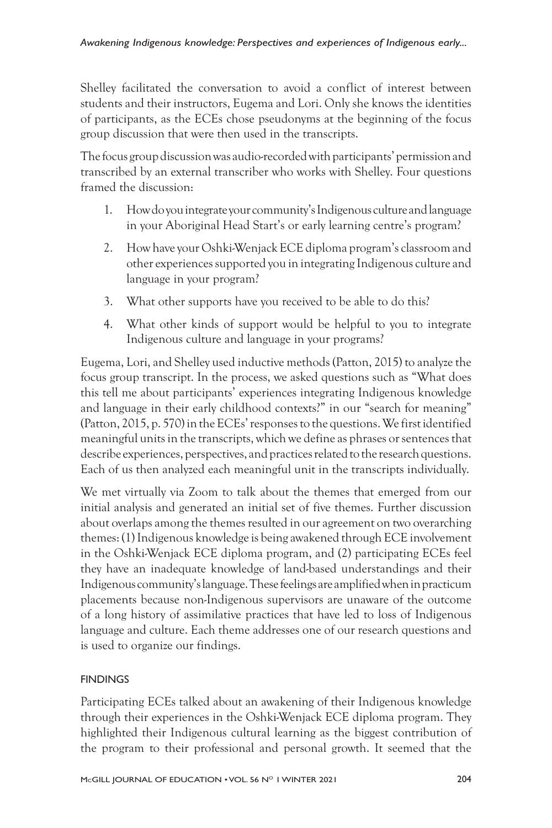Shelley facilitated the conversation to avoid a conflict of interest between students and their instructors, Eugema and Lori. Only she knows the identities of participants, as the ECEs chose pseudonyms at the beginning of the focus group discussion that were then used in the transcripts.

The focus group discussion was audio-recorded with participants' permission and transcribed by an external transcriber who works with Shelley. Four questions framed the discussion:

- 1. How do you integrate your community's Indigenous culture and language in your Aboriginal Head Start's or early learning centre's program?
- 2. How have your Oshki-Wenjack ECE diploma program's classroom and other experiences supported you in integrating Indigenous culture and language in your program?
- 3. What other supports have you received to be able to do this?
- 4. What other kinds of support would be helpful to you to integrate Indigenous culture and language in your programs?

Eugema, Lori, and Shelley used inductive methods (Patton, 2015) to analyze the focus group transcript. In the process, we asked questions such as "What does this tell me about participants' experiences integrating Indigenous knowledge and language in their early childhood contexts?" in our "search for meaning" (Patton, 2015, p. 570) in the ECEs' responses to the questions. We first identified meaningful units in the transcripts, which we define as phrases or sentences that describe experiences, perspectives, and practices related to the research questions. Each of us then analyzed each meaningful unit in the transcripts individually.

We met virtually via Zoom to talk about the themes that emerged from our initial analysis and generated an initial set of five themes. Further discussion about overlaps among the themes resulted in our agreement on two overarching themes: (1) Indigenous knowledge is being awakened through ECE involvement in the Oshki-Wenjack ECE diploma program, and (2) participating ECEs feel they have an inadequate knowledge of land-based understandings and their Indigenous community's language. These feelings are amplified when in practicum placements because non-Indigenous supervisors are unaware of the outcome of a long history of assimilative practices that have led to loss of Indigenous language and culture. Each theme addresses one of our research questions and is used to organize our findings.

# **FINDINGS**

Participating ECEs talked about an awakening of their Indigenous knowledge through their experiences in the Oshki-Wenjack ECE diploma program. They highlighted their Indigenous cultural learning as the biggest contribution of the program to their professional and personal growth. It seemed that the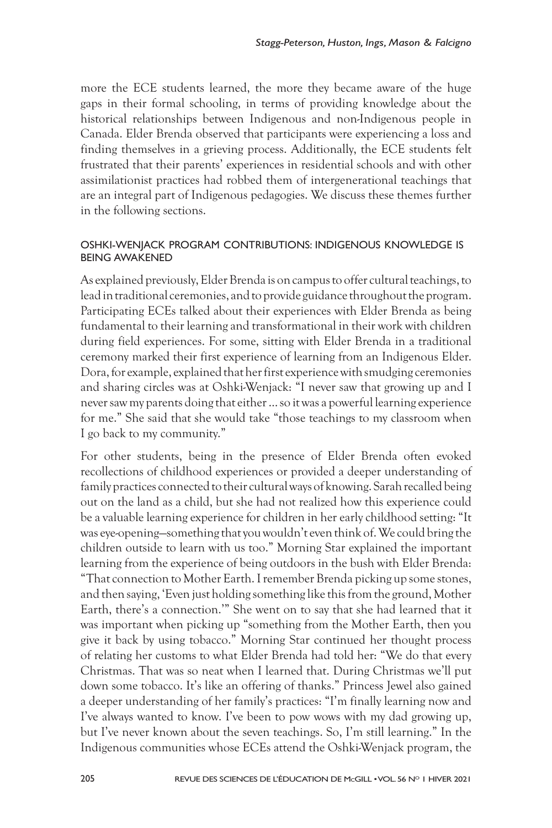more the ECE students learned, the more they became aware of the huge gaps in their formal schooling, in terms of providing knowledge about the historical relationships between Indigenous and non-Indigenous people in Canada. Elder Brenda observed that participants were experiencing a loss and finding themselves in a grieving process. Additionally, the ECE students felt frustrated that their parents' experiences in residential schools and with other assimilationist practices had robbed them of intergenerational teachings that are an integral part of Indigenous pedagogies. We discuss these themes further in the following sections.

#### OSHKI-WENJACK PROGRAM CONTRIBUTIONS: INDIGENOUS KNOWLEDGE IS BEING AWAKENED

As explained previously, Elder Brenda is on campus to offer cultural teachings, to lead in traditional ceremonies, and to provide guidance throughout the program. Participating ECEs talked about their experiences with Elder Brenda as being fundamental to their learning and transformational in their work with children during field experiences. For some, sitting with Elder Brenda in a traditional ceremony marked their first experience of learning from an Indigenous Elder. Dora, for example, explained that her first experience with smudging ceremonies and sharing circles was at Oshki-Wenjack: "I never saw that growing up and I never saw my parents doing that either … so it was a powerful learning experience for me." She said that she would take "those teachings to my classroom when I go back to my community."

For other students, being in the presence of Elder Brenda often evoked recollections of childhood experiences or provided a deeper understanding of family practices connected to their cultural ways of knowing. Sarah recalled being out on the land as a child, but she had not realized how this experience could be a valuable learning experience for children in her early childhood setting: "It was eye-opening—something that you wouldn't even think of. We could bring the children outside to learn with us too." Morning Star explained the important learning from the experience of being outdoors in the bush with Elder Brenda: "That connection to Mother Earth. I remember Brenda picking up some stones, and then saying, 'Even just holding something like this from the ground, Mother Earth, there's a connection.'" She went on to say that she had learned that it was important when picking up "something from the Mother Earth, then you give it back by using tobacco." Morning Star continued her thought process of relating her customs to what Elder Brenda had told her: "We do that every Christmas. That was so neat when I learned that. During Christmas we'll put down some tobacco. It's like an offering of thanks." Princess Jewel also gained a deeper understanding of her family's practices: "I'm finally learning now and I've always wanted to know. I've been to pow wows with my dad growing up, but I've never known about the seven teachings. So, I'm still learning." In the Indigenous communities whose ECEs attend the Oshki-Wenjack program, the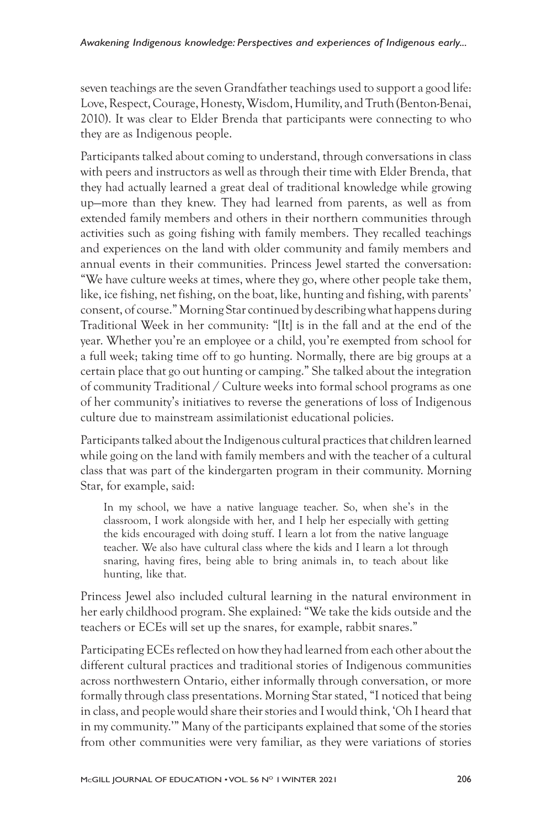seven teachings are the seven Grandfather teachings used to support a good life: Love, Respect, Courage, Honesty, Wisdom, Humility, and Truth (Benton-Benai, 2010). It was clear to Elder Brenda that participants were connecting to who they are as Indigenous people.

Participants talked about coming to understand, through conversations in class with peers and instructors as well as through their time with Elder Brenda, that they had actually learned a great deal of traditional knowledge while growing up—more than they knew. They had learned from parents, as well as from extended family members and others in their northern communities through activities such as going fishing with family members. They recalled teachings and experiences on the land with older community and family members and annual events in their communities. Princess Jewel started the conversation: "We have culture weeks at times, where they go, where other people take them, like, ice fishing, net fishing, on the boat, like, hunting and fishing, with parents' consent, of course." Morning Star continued by describing what happens during Traditional Week in her community: "[It] is in the fall and at the end of the year. Whether you're an employee or a child, you're exempted from school for a full week; taking time off to go hunting. Normally, there are big groups at a certain place that go out hunting or camping." She talked about the integration of community Traditional / Culture weeks into formal school programs as one of her community's initiatives to reverse the generations of loss of Indigenous culture due to mainstream assimilationist educational policies.

Participants talked about the Indigenous cultural practices that children learned while going on the land with family members and with the teacher of a cultural class that was part of the kindergarten program in their community. Morning Star, for example, said:

In my school, we have a native language teacher. So, when she's in the classroom, I work alongside with her, and I help her especially with getting the kids encouraged with doing stuff. I learn a lot from the native language teacher. We also have cultural class where the kids and I learn a lot through snaring, having fires, being able to bring animals in, to teach about like hunting, like that.

Princess Jewel also included cultural learning in the natural environment in her early childhood program. She explained: "We take the kids outside and the teachers or ECEs will set up the snares, for example, rabbit snares."

Participating ECEs reflected on how they had learned from each other about the different cultural practices and traditional stories of Indigenous communities across northwestern Ontario, either informally through conversation, or more formally through class presentations. Morning Star stated, "I noticed that being in class, and people would share their stories and I would think, 'Oh I heard that in my community.'" Many of the participants explained that some of the stories from other communities were very familiar, as they were variations of stories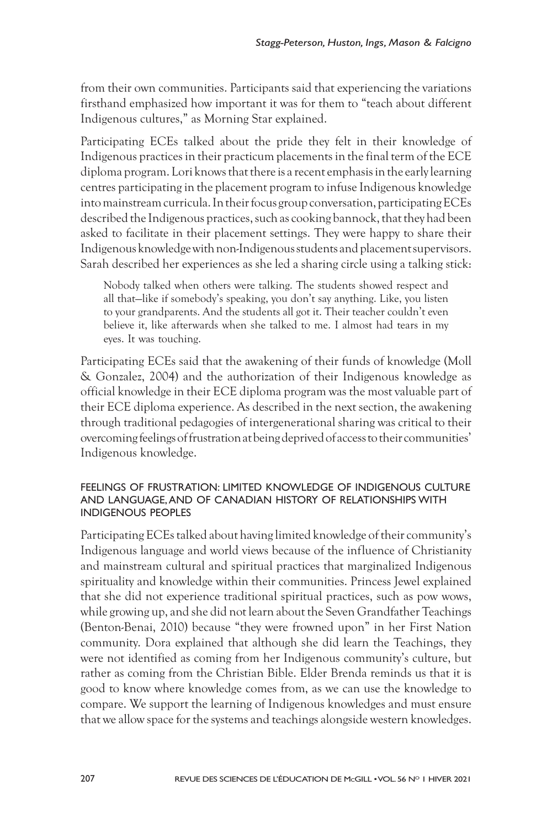from their own communities. Participants said that experiencing the variations firsthand emphasized how important it was for them to "teach about different Indigenous cultures," as Morning Star explained.

Participating ECEs talked about the pride they felt in their knowledge of Indigenous practices in their practicum placements in the final term of the ECE diploma program. Lori knows that there is a recent emphasis in the early learning centres participating in the placement program to infuse Indigenous knowledge into mainstream curricula. In their focus group conversation, participating ECEs described the Indigenous practices, such as cooking bannock, that they had been asked to facilitate in their placement settings. They were happy to share their Indigenous knowledge with non-Indigenous students and placement supervisors. Sarah described her experiences as she led a sharing circle using a talking stick:

Nobody talked when others were talking. The students showed respect and all that—like if somebody's speaking, you don't say anything. Like, you listen to your grandparents. And the students all got it. Their teacher couldn't even believe it, like afterwards when she talked to me. I almost had tears in my eyes. It was touching.

Participating ECEs said that the awakening of their funds of knowledge (Moll & Gonzalez, 2004) and the authorization of their Indigenous knowledge as official knowledge in their ECE diploma program was the most valuable part of their ECE diploma experience. As described in the next section, the awakening through traditional pedagogies of intergenerational sharing was critical to their overcoming feelings of frustration at being deprived of access to their communities' Indigenous knowledge.

#### FEELINGS OF FRUSTRATION: LIMITED KNOWLEDGE OF INDIGENOUS CULTURE AND LANGUAGE, AND OF CANADIAN HISTORY OF RELATIONSHIPS WITH INDIGENOUS PEOPLES

Participating ECEs talked about having limited knowledge of their community's Indigenous language and world views because of the influence of Christianity and mainstream cultural and spiritual practices that marginalized Indigenous spirituality and knowledge within their communities. Princess Jewel explained that she did not experience traditional spiritual practices, such as pow wows, while growing up, and she did not learn about the Seven Grandfather Teachings (Benton-Benai, 2010) because "they were frowned upon" in her First Nation community. Dora explained that although she did learn the Teachings, they were not identified as coming from her Indigenous community's culture, but rather as coming from the Christian Bible. Elder Brenda reminds us that it is good to know where knowledge comes from, as we can use the knowledge to compare. We support the learning of Indigenous knowledges and must ensure that we allow space for the systems and teachings alongside western knowledges.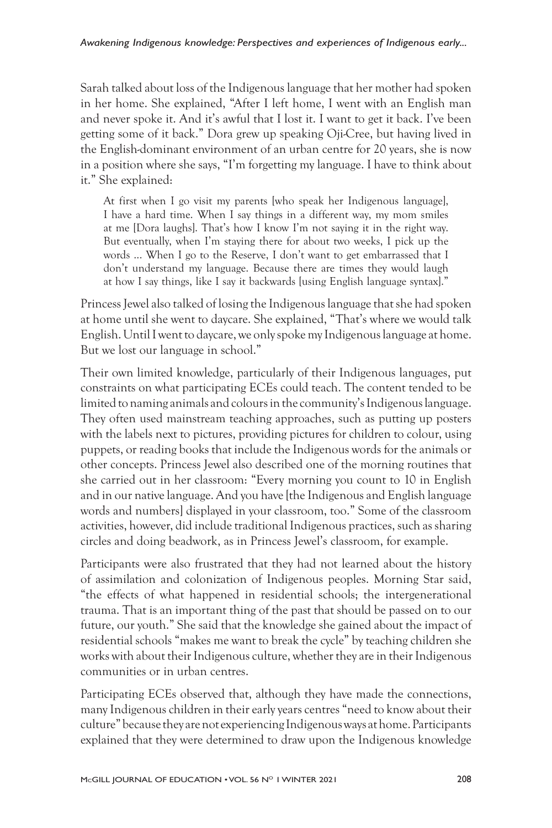Sarah talked about loss of the Indigenous language that her mother had spoken in her home. She explained, "After I left home, I went with an English man and never spoke it. And it's awful that I lost it. I want to get it back. I've been getting some of it back." Dora grew up speaking Oji-Cree, but having lived in the English-dominant environment of an urban centre for 20 years, she is now in a position where she says, "I'm forgetting my language. I have to think about it." She explained:

At first when I go visit my parents [who speak her Indigenous language], I have a hard time. When I say things in a different way, my mom smiles at me [Dora laughs]. That's how I know I'm not saying it in the right way. But eventually, when I'm staying there for about two weeks, I pick up the words ... When I go to the Reserve, I don't want to get embarrassed that I don't understand my language. Because there are times they would laugh at how I say things, like I say it backwards [using English language syntax]."

Princess Jewel also talked of losing the Indigenous language that she had spoken at home until she went to daycare. She explained, "That's where we would talk English. Until I went to daycare, we only spoke my Indigenous language at home. But we lost our language in school."

Their own limited knowledge, particularly of their Indigenous languages, put constraints on what participating ECEs could teach. The content tended to be limited to naming animals and colours in the community's Indigenous language. They often used mainstream teaching approaches, such as putting up posters with the labels next to pictures, providing pictures for children to colour, using puppets, or reading books that include the Indigenous words for the animals or other concepts. Princess Jewel also described one of the morning routines that she carried out in her classroom: "Every morning you count to 10 in English and in our native language. And you have [the Indigenous and English language words and numbers] displayed in your classroom, too." Some of the classroom activities, however, did include traditional Indigenous practices, such as sharing circles and doing beadwork, as in Princess Jewel's classroom, for example.

Participants were also frustrated that they had not learned about the history of assimilation and colonization of Indigenous peoples. Morning Star said, "the effects of what happened in residential schools; the intergenerational trauma. That is an important thing of the past that should be passed on to our future, our youth." She said that the knowledge she gained about the impact of residential schools "makes me want to break the cycle" by teaching children she works with about their Indigenous culture, whether they are in their Indigenous communities or in urban centres.

Participating ECEs observed that, although they have made the connections, many Indigenous children in their early years centres "need to know about their culture" because they are not experiencing Indigenous ways at home. Participants explained that they were determined to draw upon the Indigenous knowledge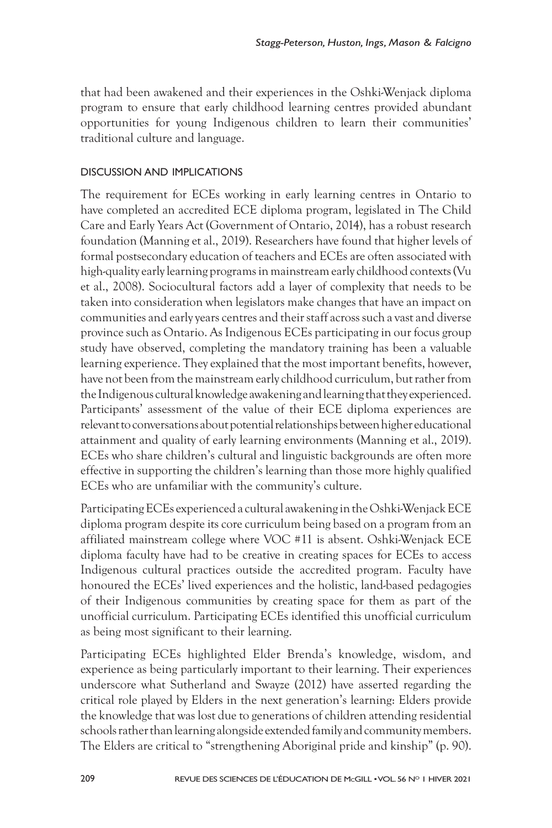that had been awakened and their experiences in the Oshki-Wenjack diploma program to ensure that early childhood learning centres provided abundant opportunities for young Indigenous children to learn their communities' traditional culture and language.

#### DISCUSSION AND IMPLICATIONS

The requirement for ECEs working in early learning centres in Ontario to have completed an accredited ECE diploma program, legislated in The Child Care and Early Years Act (Government of Ontario, 2014), has a robust research foundation (Manning et al., 2019). Researchers have found that higher levels of formal postsecondary education of teachers and ECEs are often associated with high-quality early learning programs in mainstream early childhood contexts (Vu et al., 2008). Sociocultural factors add a layer of complexity that needs to be taken into consideration when legislators make changes that have an impact on communities and early years centres and their staff across such a vast and diverse province such as Ontario. As Indigenous ECEs participating in our focus group study have observed, completing the mandatory training has been a valuable learning experience. They explained that the most important benefits, however, have not been from the mainstream early childhood curriculum, but rather from the Indigenous cultural knowledge awakening and learning that they experienced. Participants' assessment of the value of their ECE diploma experiences are relevant to conversations about potential relationships between higher educational attainment and quality of early learning environments (Manning et al., 2019). ECEs who share children's cultural and linguistic backgrounds are often more effective in supporting the children's learning than those more highly qualified ECEs who are unfamiliar with the community's culture.

Participating ECEs experienced a cultural awakening in the Oshki-Wenjack ECE diploma program despite its core curriculum being based on a program from an affiliated mainstream college where VOC #11 is absent. Oshki-Wenjack ECE diploma faculty have had to be creative in creating spaces for ECEs to access Indigenous cultural practices outside the accredited program. Faculty have honoured the ECEs' lived experiences and the holistic, land-based pedagogies of their Indigenous communities by creating space for them as part of the unofficial curriculum. Participating ECEs identified this unofficial curriculum as being most significant to their learning.

Participating ECEs highlighted Elder Brenda's knowledge, wisdom, and experience as being particularly important to their learning. Their experiences underscore what Sutherland and Swayze (2012) have asserted regarding the critical role played by Elders in the next generation's learning: Elders provide the knowledge that was lost due to generations of children attending residential schools rather than learning alongside extended family and community members. The Elders are critical to "strengthening Aboriginal pride and kinship" (p. 90).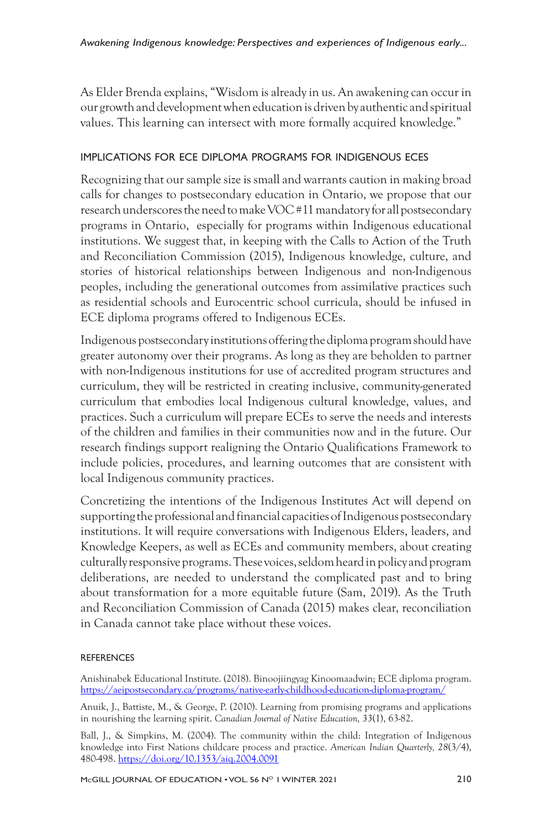As Elder Brenda explains, "Wisdom is already in us. An awakening can occur in our growth and development when education is driven by authentic and spiritual values. This learning can intersect with more formally acquired knowledge."

# IMPLICATIONS FOR ECE DIPLOMA PROGRAMS FOR INDIGENOUS ECES

Recognizing that our sample size is small and warrants caution in making broad calls for changes to postsecondary education in Ontario, we propose that our research underscores the need to make VOC #11 mandatory for all postsecondary programs in Ontario, especially for programs within Indigenous educational institutions. We suggest that, in keeping with the Calls to Action of the Truth and Reconciliation Commission (2015), Indigenous knowledge, culture, and stories of historical relationships between Indigenous and non-Indigenous peoples, including the generational outcomes from assimilative practices such as residential schools and Eurocentric school curricula, should be infused in ECE diploma programs offered to Indigenous ECEs.

Indigenous postsecondary institutions offering the diploma program should have greater autonomy over their programs. As long as they are beholden to partner with non-Indigenous institutions for use of accredited program structures and curriculum, they will be restricted in creating inclusive, community-generated curriculum that embodies local Indigenous cultural knowledge, values, and practices. Such a curriculum will prepare ECEs to serve the needs and interests of the children and families in their communities now and in the future. Our research findings support realigning the Ontario Qualifications Framework to include policies, procedures, and learning outcomes that are consistent with local Indigenous community practices.

Concretizing the intentions of the Indigenous Institutes Act will depend on supporting the professional and financial capacities of Indigenous postsecondary institutions. It will require conversations with Indigenous Elders, leaders, and Knowledge Keepers, as well as ECEs and community members, about creating culturally responsive programs. These voices, seldom heard in policy and program deliberations, are needed to understand the complicated past and to bring about transformation for a more equitable future (Sam, 2019). As the Truth and Reconciliation Commission of Canada (2015) makes clear, reconciliation in Canada cannot take place without these voices.

# **REFERENCES**

Anishinabek Educational Institute. (2018). Binoojiingyag Kinoomaadwin; ECE diploma program. https://aeipostsecondary.ca/programs/native-early-childhood-education-diploma-program/

Anuik, J., Battiste, M., & George, P. (2010). Learning from promising programs and applications in nourishing the learning spirit. *Canadian Journal of Native Education, 33*(1), 63-82.

Ball, J., & Simpkins, M. (2004). The community within the child: Integration of Indigenous knowledge into First Nations childcare process and practice. *American Indian Quarterly, 28*(3/4), 480-498. https://doi.org/10.1353/aiq.2004.0091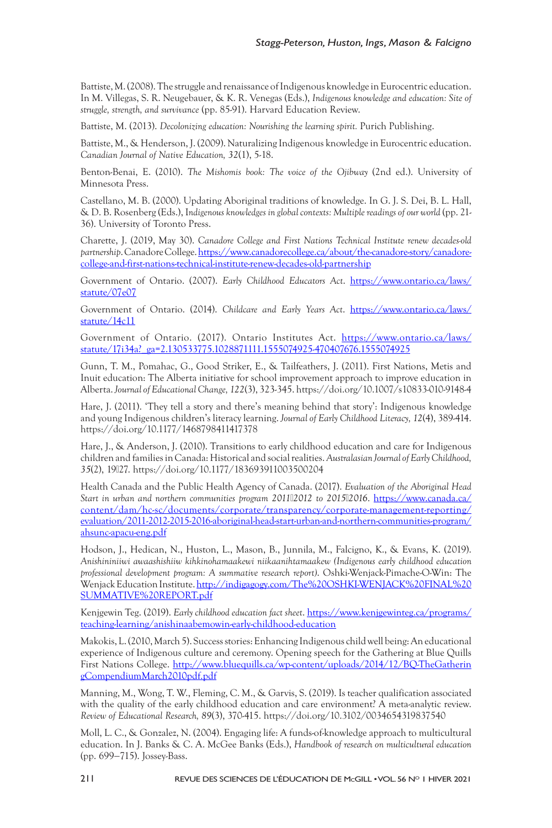Battiste, M. (2008). The struggle and renaissance of Indigenous knowledge in Eurocentric education. In M. Villegas, S. R. Neugebauer, & K. R. Venegas (Eds.), *Indigenous knowledge and education: Site of struggle, strength, and survivance* (pp. 85-91). Harvard Education Review.

Battiste, M. (2013). *Decolonizing education: Nourishing the learning spirit.* Purich Publishing.

Battiste, M., & Henderson, J. (2009). Naturalizing Indigenous knowledge in Eurocentric education. *Canadian Journal of Native Education, 32*(1), 5-18.

Benton-Benai, E. (2010). *The Mishomis book: The voice of the Ojibway* (2nd ed.). University of Minnesota Press.

Castellano, M. B. (2000). Updating Aboriginal traditions of knowledge. In G. J. S. Dei, B. L. Hall, & D. B. Rosenberg (Eds.), I*ndigenous knowledges in global contexts: Multiple readings of our world* (pp. 21- 36). University of Toronto Press.

Charette, J. (2019, May 30). *Canadore College and First Nations Technical Institute renew decades-old partnership*. Canadore College. https://www.canadorecollege.ca/about/the-canadore-story/canadorecollege-and-first-nations-technical-institute-renew-decades-old-partnership

Government of Ontario. (2007). *Early Childhood Educators Act*. https://www.ontario.ca/laws/ statute/07e07

Government of Ontario. (2014). *Childcare and Early Years Act*. https://www.ontario.ca/laws/ statute/14c11

Government of Ontario. (2017). Ontario Institutes Act. https://www.ontario.ca/laws/ statute/17i34a?\_ga=2.130533775.1028871111.1555074925-470407676.1555074925

Gunn, T. M., Pomahac, G., Good Striker, E., & Tailfeathers, J. (2011). First Nations, Metis and Inuit education: The Alberta initiative for school improvement approach to improve education in Alberta. *Journal of Educational Change, 122*(3), 323-345. https://doi.org/10.1007/s10833-010-9148-4

Hare, J. (2011). 'They tell a story and there's meaning behind that story': Indigenous knowledge and young Indigenous children's literacy learning. *Journal of Early Childhood Literacy, 12*(4), 389-414. https://doi.org/10.1177/1468798411417378

Hare, J., & Anderson, J. (2010). Transitions to early childhood education and care for Indigenous children and families in Canada: Historical and social realities. *Australasian Journal of Early Childhood, 35*(2), 19−27. https://doi.org/10.1177/183693911003500204

Health Canada and the Public Health Agency of Canada. (2017). *Evaluation of the Aboriginal Head Start in urban and northern communities program 2011−2012 to 2015−2016*. https://www.canada.ca/ content/dam/hc-sc/documents/corporate/transparency/corporate-management-reporting/ evaluation/2011-2012-2015-2016-aboriginal-head-start-urban-and-northern-communities-program/ ahsunc-apacu-eng.pdf

Hodson, J., Hedican, N., Huston, L., Mason, B., Junnila, M., Falcigno, K., & Evans, K. (2019). *Anishininiiwi awaashishiiw kihkinohamaakewi niikaanihtamaakew (Indigenous early childhood education professional development program: A summative research report)*. Oshki-Wenjack-Pimache-O-Win: The Wenjack Education Institute. http://indigagogy.com/The%20OSHKI-WENJACK%20FINAL%20 SUMMATIVE%20REPORT.pdf

Kenjgewin Teg. (2019). *Early childhood education fact sheet*. https://www.kenjgewinteg.ca/programs/ teaching-learning/anishinaabemowin-early-childhood-education

Makokis, L. (2010, March 5). Success stories: Enhancing Indigenous child well being: An educational experience of Indigenous culture and ceremony. Opening speech for the Gathering at Blue Quills First Nations College. http://www.bluequills.ca/wp-content/uploads/2014/12/BQ-TheGatherin gCompendiumMarch2010pdf.pdf

Manning, M., Wong, T. W., Fleming, C. M., & Garvis, S. (2019). Is teacher qualification associated with the quality of the early childhood education and care environment? A meta-analytic review. *Review of Educational Research, 89*(3), 370-415. https://doi.org/10.3102/0034654319837540

Moll, L. C., & Gonzalez, N. (2004). Engaging life: A funds-of-knowledge approach to multicultural education. In J. Banks & C. A. McGee Banks (Eds.), *Handbook of research on multicultural education* (pp. 699−715). Jossey-Bass.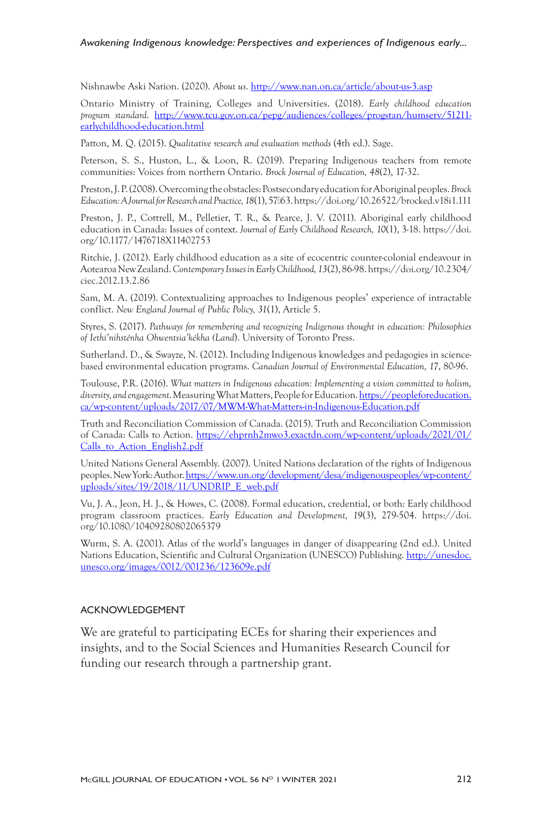#### *Awakening Indigenous knowledge: Perspectives and experiences of Indigenous early...*

Nishnawbe Aski Nation. (2020). *About us*. http://www.nan.on.ca/article/about-us-3.asp

Ontario Ministry of Training, Colleges and Universities. (2018). *Early childhood education program standard*. http://www.tcu.gov.on.ca/pepg/audiences/colleges/progstan/humserv/51211 earlychildhood-education.html

Patton, M. Q. (2015). *Qualitative research and evaluation methods* (4th ed.). Sage.

Peterson, S. S., Huston, L., & Loon, R. (2019). Preparing Indigenous teachers from remote communities: Voices from northern Ontario. *Brock Journal of Education, 48*(2), 17-32.

Preston, J. P. (2008). Overcoming the obstacles: Postsecondary education for Aboriginal peoples. *Brock Education: A Journal for Research and Practice, 18*(1), 57−63. https://doi.org/10.26522/brocked.v18i1.111

Preston, J. P., Cottrell, M., Pelletier, T. R., & Pearce, J. V. (2011). Aboriginal early childhood education in Canada: Issues of context. *Journal of Early Childhood Research, 10*(1), 3-18. https://doi. org/10.1177/1476718X11402753

Ritchie, J. (2012). Early childhood education as a site of ecocentric counter-colonial endeavour in Aotearoa New Zealand. *Contemporary Issues in Early Childhood, 13*(2), 86-98. https://doi.org/10.2304/ ciec.2012.13.2.86

Sam, M. A. (2019). Contextualizing approaches to Indigenous peoples' experience of intractable conflict. *New England Journal of Public Policy, 31*(1), Article 5.

Styres, S. (2017). *Pathways for remembering and recognizing Indigenous thought in education: Philosophies of Iethi'nihsténha Ohwentsia'kékha (Land*). University of Toronto Press.

Sutherland. D., & Swayze, N. (2012). Including Indigenous knowledges and pedagogies in sciencebased environmental education programs. *Canadian Journal of Environmental Education, 17*, 80-96.

Toulouse, P.R. (2016). *What matters in Indigenous education: Implementing a vision committed to holism, diversity, and engagement.* Measuring What Matters, People for Education. https://peopleforeducation. ca/wp-content/uploads/2017/07/MWM-What-Matters-in-Indigenous-Education.pdf

Truth and Reconciliation Commission of Canada. (2015). Truth and Reconciliation Commission of Canada: Calls to Action. https://ehprnh2mwo3.exactdn.com/wp-content/uploads/2021/01/ Calls\_to\_Action\_English2.pdf

United Nations General Assembly. (2007). United Nations declaration of the rights of Indigenous peoples. New York: Author. https://www.un.org/development/desa/indigenouspeoples/wp-content/ uploads/sites/19/2018/11/UNDRIP\_E\_web.pdf

Vu, J. A., Jeon, H. J., & Howes, C. (2008). Formal education, credential, or both: Early childhood program classroom practices. *Early Education and Development, 19*(3), 279-504. https://doi. org/10.1080/10409280802065379

Wurm, S. A. (2001). Atlas of the world's languages in danger of disappearing (2nd ed.). United Nations Education, Scientific and Cultural Organization (UNESCO) Publishing. http://unesdoc. unesco.org/images/0012/001236/123609e.pdf

#### ACKNOWLEDGEMENT

We are grateful to participating ECEs for sharing their experiences and insights, and to the Social Sciences and Humanities Research Council for funding our research through a partnership grant.